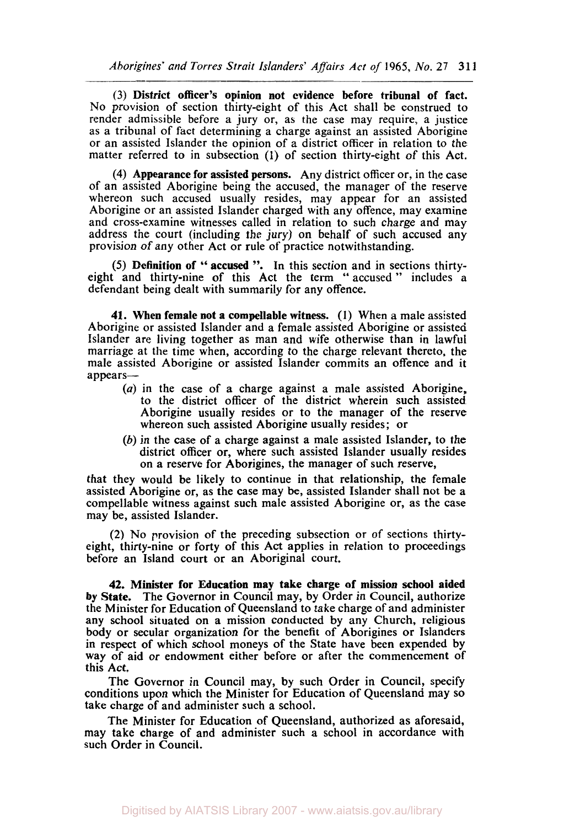*Aborigines' and Torres Strait Islanders' Affairs Act of* **1965,** *No.* **27 31 1** 

(3) District officer's opinion not evidence before tribunal of fact. No provision of section thirty-eight of this Act shall be construed to render admissible before a jury or, as the case may require, a justice as a tribunal of fact determining a charge against an assisted Aborigine or an assisted Islander the opinion of a district officer in relation to the matter referred to in subsection (1) of section thirty-eight of this Act.

**(4)** Appearance for assisted persons. Any district officer or, in the case of an assisted Aborigine being the accused, the manager of the reserve whereon such accused usually resides, may appear for an assisted Aborigine or an assisted Islander charged with any offence, may examine and cross-examine witnesses called in relation to such charge and may address the court (including the jury) on behalf of such accused any provision of any other Act or rule of practice notwithstanding.

*(5)* Definition of " accused ". In this section and in sections thirtyeight and thirty-nine of this Act the term " accused " includes a defendant being dealt with summarily for any offence.

**41.** When female not a compellable witness. (I) When **a** male assisted Aborigine or assisted Islander and a female assisted Aborigine or assisted Islander are living together as man and wife otherwise than in lawful marriage at the time when, according to the charge relevant thereto, the male assisted Aborigine or assisted Islander commits an offence and it appears-

- *(a)* in the case of a charge against a male assisted Aborigine, to the district officer of the district wherein such assisted Aborigine usually resides or to the manager of the reserve whereon such assisted Aborigine usually resides; or
- (b) in the case of a charge against a male assisted Islander, to the district officer or, where such assisted Islander usually resides on a reserve for Aborigines, the manager of such reserve,

that they would be likely to continue in that relationship, the female assisted Aborigine or, as the case may be, assisted Islander shall not be **a**  compellable witness against such male assisted Aborigine or, as the case may be, assisted Islander.

(2) No provision **of** the preceding subsection or of sections thirtyeight, thirty-nine or forty of this Act applies in relation to proceedings before an Island court or an Aboriginal court.

**42.** Minister for Education may take charge of mission school aided by State. The Governor in Council may, by Order in Council, authorize the Minister for Education of Queensland to take charge of and administer any school situated on a mission conducted by any Church, religious body or secular organization for the benefit of Aborigines or Islanders in respect of which school moneys of the State have been expended by way of aid or endowment either before or after the commencement of this Act.

The Governor in Council may, by such Order in Council, specify conditions upon which the Minister for Education of Queensland may **so**  take charge of and administer such a school.

The Minister for Education of Queensland, authorized as aforesaid, may take charge of and administer such a school in accordance with such Order in Council.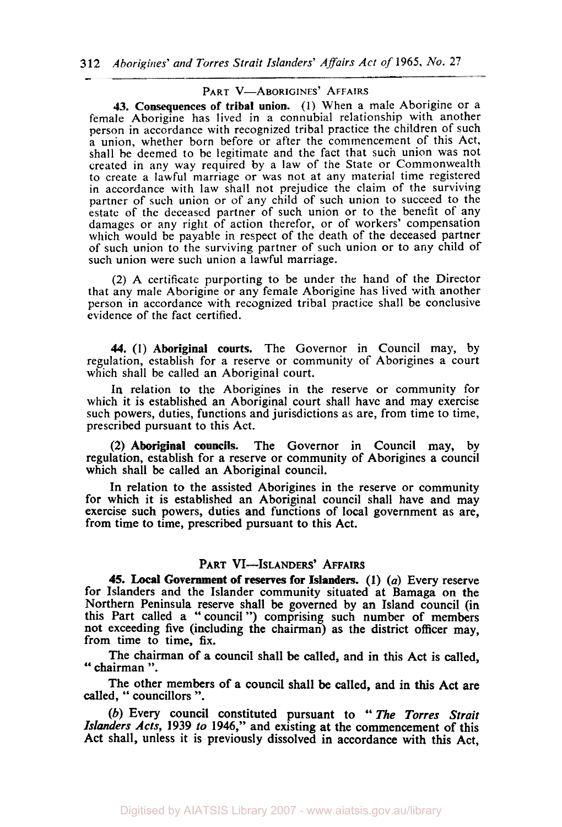## PART V-ABORIGINES' AFFAIRS

**43.** Consequences of tribal union. (1) When a male Aborigine or a female Aborigine has lived in a connubial relationship with another person in accordance with recognized tribal practice the children of such a union, whether born before or after the commencement of this Act, shall be deemed to be legitimate and the fact that such union was not created in any way required by a law of the State or Commonwealth to create a lawful marriage or was not at any material time registered in accordance with law shall not prejudice the claim of the surviving partner of such union or of any child of such union to succeed to the estate of the deceased partner of such union or to the benefit of any damages or any right of action therefor, or of workers' compensation which would be payable in respect of the death of the deceased partner of such union to the surviving partner of such union or to any child of such union were such union a lawful marriage.

(2) **A** certificate purporting to be under the hand of the Director that any male Aborigine or any female Aborigine has lived with another person in accordance with recognized tribal practice shall be conclusive evidence of the fact certified.

**44. (1) Aboriginal** courts. The Governor in Council may, by regulation, establish for a reserve or community of Aborigines a court which shall be called an Aboriginal court.

In relation to the Aborigines in the reserve or community for which it is established an Aboriginal court shall have and may exercise such powers, duties, functions and jurisdictions as are, from time to time, prescribed pursuant to this Act.

**(2) Aboriginal councils.** The Governor in Council may, by regulation, establish for a reserve or community of Aborigines a council which shall be called an Aboriginal council.

In relation to the assisted Aborigines in the reserve or community for which it is established an Aboriginal council shall have and may exercise such powers, duties and functions of local government as are, from time to time, prescribed pursuant to this Act.

## PART VI-ISLANDERS' AFFAIRS

**45.** Local **Government of reserves for Islanders. (1)** (a) Every reserve for Islanders and the Islander community situated at Bamaga on the Northern Peninsula reserve shall be governed by an Island council (in this Part called a "council ") comprising such number of members not exceeding five (including the chairman) as the district officer may, from time to time, fix.

The chairman of **a** council shall be called, and in this Act is called, " chairman ".

The other members of a council shall be called, and in **this** Act are called, " councillors ".

(b) Every council constituted pursuant to " The Torres *Strait Islanders Acts,* **1939** *to* **1946,"** and existing at the commencement of this Act shall, unless it is previously dissolved in accordance with this Act,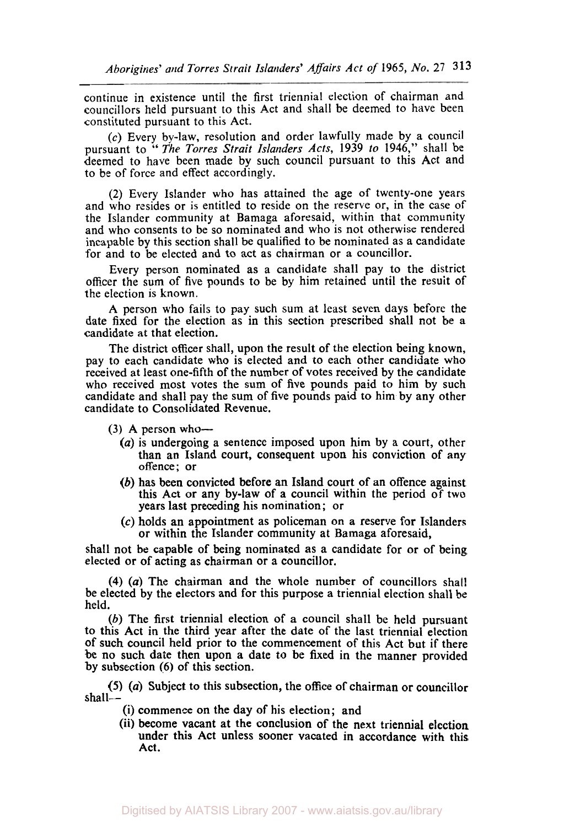continue in existence until the first triennial election of chairman and councillors held pursuant to this Act and shall be deemed to have been constituted pursuant to this Act.

(c) Every by-law, resolution and order lawfully made by a council pursuant to " *The Torres Strait Islanders Acts,* **1939** *to* **1946,"** shall be deemed to have been made by such council pursuant to this Act and to be of force and effect accordingly.

(2) Every Islander who has attained the age of twenty-one years and who resides or is entitled to reside on the reserve or, in the case of the Islander community at Bamaga aforesaid, within that community and who consents to be **so** nominated and who is not otherwise rendered incapable by this section shall be qualified to be nominated as a candidate for and to be elected and to act as chairman or a councillor.

Every person nominated as a candidate shall pay to the district officer the sum of five pounds to be by him retained until the result of the election is known.

A person who fails to pay such sum at least seven days before the date fixed for the election as in this section prescribed shall not be a candidate at that election.

The district officer shall, upon the result of the election being known, pay to each candidate who is elected and to each other candidate who received at least one-fifth of the number of votes received by the candidate who received most votes the sum of five pounds paid to him by such candidate and shall pay the sum of five pounds paid to him by any other candidate to Consolidated Revenue.

- $(3)$  A person who---
	- *(a)* is undergoing a sentence imposed upon him by a court, other than an Island court, consequent upon **his** conviction of any offence; or
	- (b) has been convicted before an Island court of an offence against this Act or any by-law of a council within the period of two years last preceding his nomination; or
	- *(c)* holds an appointment as policeman on a reserve for Islanders or within the Islander community at Bamaga aforesaid,

shall not be capable of being nominated as a candidate for or of being elected or of acting as chairman or a councillor,

**(4)** *(a)* The chairman and the whole number of councillors shall be elected by the electors and for this purpose a triennial election shall be held.

(b) The first triennial election of a council shall be held pursuant to this Act in the third year after the date of the last triennial election of such council held prior to the commencement of this Act but if there be no such date then upon a date to be fixed in the manner provided by subsection (6) of this section.

*(5) (a)* Subject to this subsection, the office of chairman or councillor shall-

- (i) commence on the day of his election; and
- (ii) become vacant at the conclusion of the next triennial election under this Act unless sooner vacated in accordance with this Act.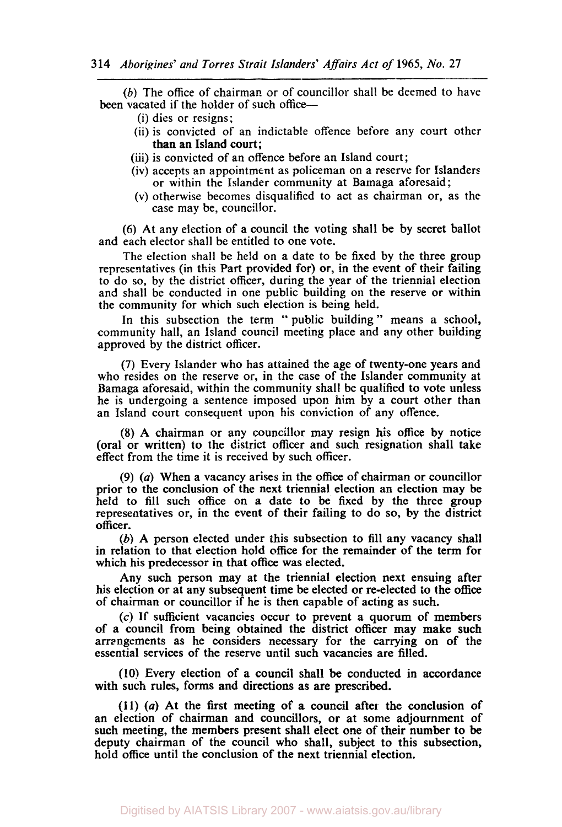*(b)* The office of chairman or of councillor shall be deemed to have been vacated if the holder of such office-

- (i) dies or resigns;
- (ii) is convicted of an indictable offence before any court other than an Island court;
- (iii) is convicted of an offence before an Island court;
- (iv) accepts an appointment as policeman on a reserve for Islanders or within the Islander community at Bamaga aforesaid;
- (V) otherwise becomes disqualified to act as chairman or, as the case may be, councillor.

(6) At any election of a council the voting shall be by secret ballot and each elector shall be entitled to one vote.

The election shall be held on a date to be fixed by the three group representatives (in this Part provided for) or, in the event of their failing to do so, by the district officer, during the year of the triennial election and shall be conducted in one public building on the reserve or within the community for which such election *is* being held.

In this subsection the term "public building" means a school, community hall, an Island council meeting place and any other building approved by the district officer.

(7) Every Islander who has attained the age of twenty-one years and who resides on the reserve or, in the case of the Islander community at Bamaga aforesaid, within the community shall be qualified to vote unless he is undergoing a sentence imposed upon him by a court other than an Island court consequent upon his conviction of any offence.

*(8)* A chairman or any councillor may resign **his** office by notice (oral or written) to the district officer and such resignation shall take effect from the time it is received by such officer.

(9) *(a)* When a vacancy arises in the office of chairman or councillor prior to the conclusion of the next triennial election an election may be held to fill such office on a date to be fixed by the three group representatives or, in the event of their failing to do **so,** by the district officer.

(b) A person elected under this subsection to fill any vacancy shall in relation to that election hold office for the remainder of the term for which his predecessor in that office was elected.

Any such person may at the triennial election next ensuing after **his** election or at any subsequent time be elected or re-elected **to** the office of chairman **or** councillor if he is then capable of acting as such.

**(c)** If sufficient vacancies occur to prevent a quorum of members of a council from being obtained the district officer may make such arrangements as he considers necessary for the carrying on **of** the essential services of the reserve until such vacancies are filled.

**(10)** Every election of a council shall be conducted in accordance with such rules, forms and directions as are prescribed.

**(1** 1) (a) At the first meeting of **a** council after the conclusion **of**  an election of chairman and councillors, or at some adjournment of such meeting, the members present shall elect one of their number to be deputy chairman of the council who shall, subject **to** this subsection, hold office until the conclusion of the next triennial election.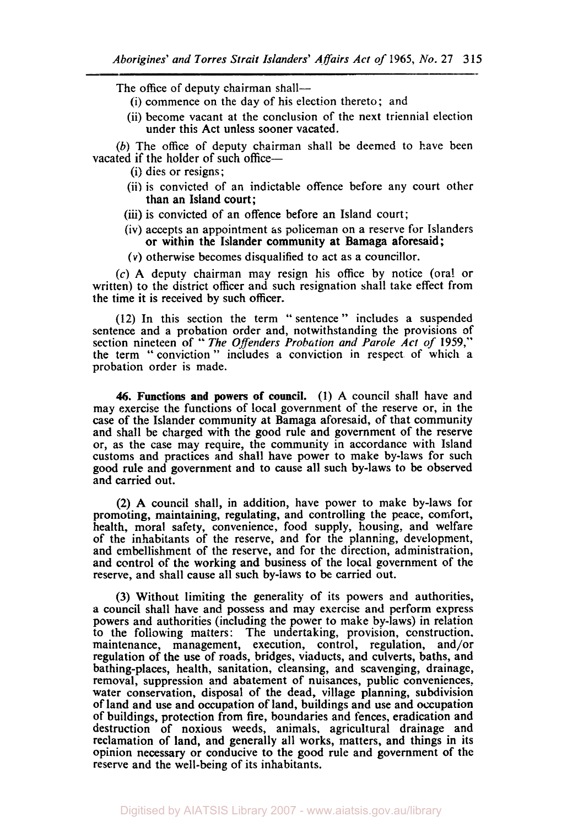The office of deputy chairman shall-

- (i) commence on the day of his election thereto; and
- (ii) become vacant at the conclusion of the next triennial election under this Act unless sooner vacated.

*(b)* The office of deputy chairman shall be deemed to have been vacated if the holder of such office-

- (i) dies or resigns;
- (ii) is convicted of an indictable offence before any court other than an Island court;
- (iii) is convicted of an offence before an Island court;
- (iv) accepts an appointment **as** policeman on a reserve for Islanders or within the Islander community at Bamaga aforesaid ;

*(V)* otherwise becomes disqualified to act as a councillor.

**(c)** A deputy chairman may resign his office by notice (oral or written) to the district officer and such resignation shall take effect from the time it is received by such officer.

(12) In this section the term " sentence'' includes a suspended sentence and a probation order and, notwithstanding the provisions of section nineteen of " *The Offenders Probation and Parole Act of* 1959," the term "conviction" includes a conviction in respect of which a probation order is made.

*46.* **Functions and powers of council. (1)** A council shall have and may exercise the functions of local government of the reserve or, in the case of the Islander community at Bamaga aforesaid, of that community and shall be charged with the good rule and government of the reserve or, as the case may require, the community in accordance with Island customs and practices and shall have power to make by-laws for such good rule and government and to cause all such by-laws to be observed and carried out.

(2) **A** council shall, in addition, have power to make by-laws for promoting, maintaining, regulating, and controlling the peace, comfort, health, moral safety, convenience, food supply, housing, and welfare of the inhabitants of the reserve, and for the planning, development, and embellishment of the reserve, and for the direction, administration, and control of the working and business of the local government of the reserve, and shall cause all such by-Iaws to be carried out.

(3) Without limiting the generality of its powers and authorities, a council shall have and possess and may exercise and perform express powers and authorities (including the power to make by-laws) in relation to the following matters : The undertaking, provision, construction. maintenance, management, execution, control, regulation, and/or regulation of the use of roads, bridges, viaducts, and culverts, baths, and bathing-places, health, sanitation, cleansing, and scavenging, drainage, removal, suppression and abatement of nuisances, public conveniences, water conservation, disposal of the dead, village planning, subdivision of land and use and occupation of land, buildings and use and occupation of buildings, protection from fire, boundaries and fences, eradication and destruction of noxious weeds, animals, agricultural drainage and reclamation of land, and generally all works, matters, and things in its opinion necessary or conducive to the good rule and government of the reserve and the well-being of its inhabitants.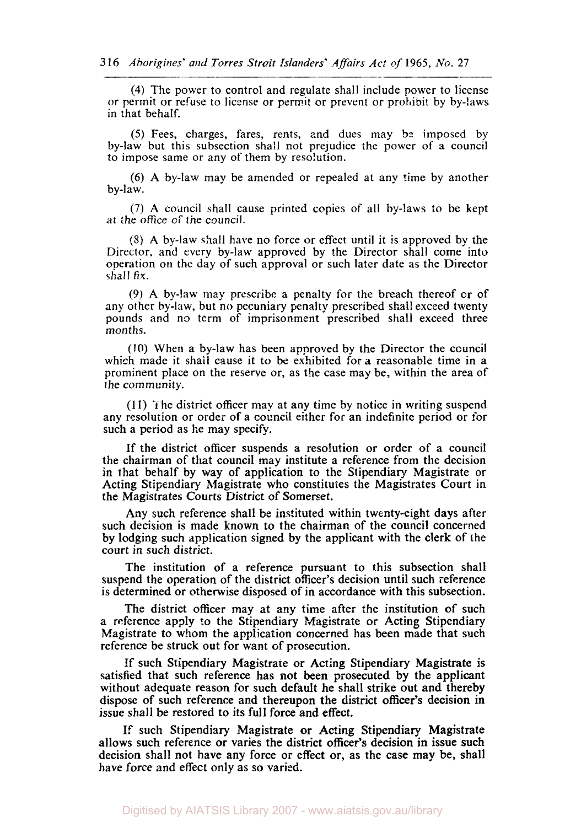**(4)** The power to control and regulate shall include power to license or permit or refuse to license or permit or prevent or prohibit by by-laws in that behalf.

*(5)* Fees, charges, fares, rents, 2nd dues may *be* imposed by by-law but this subsection shall not prejudice the power of a council to impose same or any of them by resolution.

(6) A by-law may be amended or repealed at any time by another by-law.

(7) **A** council shall cause printed copies of all by-laws to be kept at the *office of the* council.

(8) **A** by-law shall have no force or effect until it is approved by the Director. and every by-law approved by the Director shall come into operation on the day of such approval or such later date as the Director shall *fix.* 

(9) **A** by-law may prescribe a penalty for the breach thereof or of any other by-law, but no pecuniary penalty prescribed shall exceed twenty pounds and no term of imprisonment prescribed shall exceed three months.

**(10)** When a by-law has been approved by the Director the council which made it shall cause it to be exhibited for a reasonable time in a prominent place on the reserve or, as the case may be, within the area of the community.

(1 **1)** The district officer may at any time **by** notice in writing suspend any resolution or order of a council either for an indefinite period or for such a period as he may specify.

If the district officer suspends a resolution or order of a council the chairman of that council may institute a reference from the decision in that behalf by way of application to the Stipendiary Magistrate or Acting Stipendiary Magistrate who constitutes the Magistrates Court in the Magistrates Courts District of Somerset.

**Any** such reference shall be instituted within twenty-eight days after such decision is made known to the chairman of the council concerned by lodging such application signed by the applicant with the clerk of the court in such district.

The institution of a reference pursuant to this subsection shall suspend the operation of the district officer's decision until such reference is determined or otherwise disposed of in accordance with this subsection.

The district officer may at any time after the institution of such a reference apply **to** the Stipendiary Magistrate or Acting Stipendiary Magistrate to whom the application concerned has been made that such reference be struck out for want of prosecution.

If such Stipendiary Magistrate or Acting Stipendiary Magistrate is satisfied that such reference has not been prosecuted by the applicant without adequate reason for such default he shall strike out and thereby dispose of such reference and thereupon the district officer's decision in issue shall be restored to its full force and effect.

If such Stipendiary Magistrate or Acting Stipendiary Magistrate allows such reference or varies the district **officer's** decision in issue such decision shall not have any force or effect or, as the case may be, shall have force and effect only as so varied.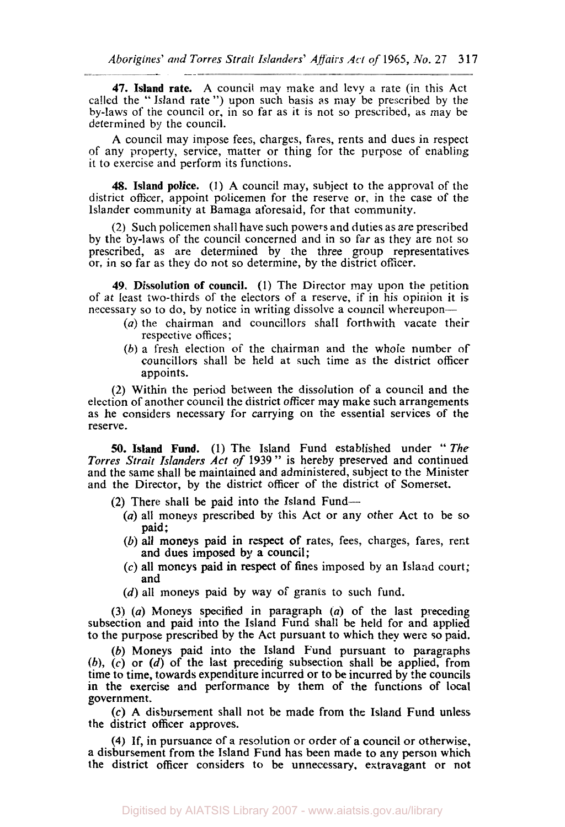**47. Island** rate. A council may make and levy a rate (in this Act called the " Island rate ") upon such basis *as* may be prescribed by the by-laws of the council or, in so far as it is not so prescribed, as may be determined by the council.

\_\_\_-

A council may impose fees, charges, fares, rents and dues in respect of any property, service, matter or thing for the purpose of enabling it to exercise and perform its functions.

**48. Island** police. **(1) A** council may, subject to the approval of the district officer, appoint policemen for the reserve or, in the case of the Islander community at Bamaga aforesaid, for that community.

(2) Such policemen shall have such powers and duties as are prescribed by the by-laws of the council concerned and in so far as they are not so prescribed, as are determined by the three group representatives or, in so far as they do not so determine, by the district officer.

**49.** Dissolution of council. (1) The Director may upon the petition of at least two-thirds of the electors of a reserve, if in his opinion it is necessary so to do, by notice in writing dissolve a council whereupon—

- *(a)* the chairman and councillors shall forthwith vacate their respective offices;
- (b) a fresh election of the chairman and the whole number of councillors shall be held at such time as the district officer appoints.

(2) Within the period between the dissolution of a council and the election of another council the district officer may make such arrangements as he considers necessary for carrying **on** the essential services of the reserve.

*50.* Island Fund. (1) The Island Fund established under " The *Torres Strait Islanders Act of* <sup>1939</sup>" is hereby preserved and continued and the same shall be maintained and administered, subject to the Minister and the Director, by the district officer of the district of Somerset.

- (2) There shall be paid into the Island Fund-
	- (a) all moneys prescribed by this Act or any other Act to be so paid;
	- *(b)* all moneys paid in respect of rates, fees, charges, fares, rent and dues imposed by a council;
	- (c) all moneys paid in respect of fines imposed by an Island court; and
	- (d) all moneys paid by way *of* grants to such fund.

(3) *(a)* Moneys specified in paragraph *(a)* of the last preceding subsection and paid into the Island Fund shall be held for and applied to the purpose prescribed by the Act pursuant to which they were **so** paid.

(b) Moneys paid into the Island Fund pursuant to paragraphs  $(b)$ ,  $(c)$  or  $(d)$  of the last preceding subsection shall be applied, from time to time, towards expenditure incurred **or** to be incurred by the councils in the exercise and performance by them of the functions of local government.

*(c)* **A** disbursement shall not be made from the Island Fund unless the district officer approves.

**(4)** If, in pursuance of a resolution or order of **a** council or otherwise, **a** disbursement from the Island Fund has been made to any person which the district officer considers to be unnecessary. extravagant or not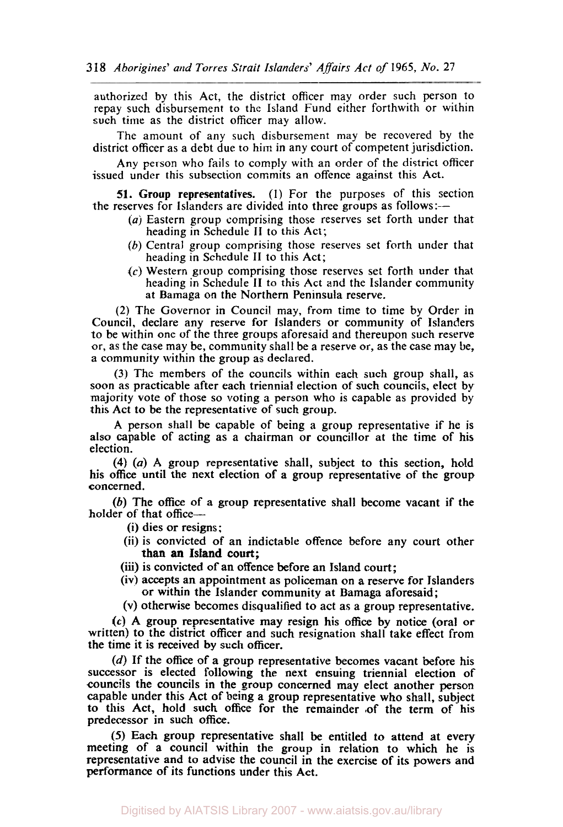authorized by this Act, the district officer may order such person to repay such disbursement to the Island Fund either forthwith or within such time as the district officer may allow.

The amount of any such disbursement may be recovered by the district officer as a debt due to him in any court of competent jurisdiction.

Any person who fails to comply with an order of the district officer issued under this subsection commits an offence against this Act.

**51.** Group representatives. (1) For the purposes of this section the reserves for Islanders are divided into three groups as follows:--

- *(a)* Eastern group comprising those reserves set forth under that heading in Schedule II to this Act;
- *(b)* Central group comprising those reserves set forth under that heading in Schedule II to this Act;
- **(c)** Western group comprising those reserves set forth under that heading in Schedule II to this Act and the Islander community at Bamaga on the Northern Peninsula reserve.

(2) The Governor in Council **may,** from time to time by Order in Council, declare any reserve for Islanders or community **of** Islanders to be within one of the three groups aforesaid and thereupon such reserve or, as the case may be, community shall be a reserve or, as the case may be, a community within the group as declared.

(3) The members of the councils within each such group shall, as soon as practicable after each triennial election of such councils, elect by majority vote of those so voting **a** person who is capable as provided by this Act to be the representative of such group.

A person shall be capable of being **a** group representative if he is also capable of acting as a chairman or councillor at the time of his election.

**(4)** (a) **A** group representative shall, subject to this section, hold his office until the next election of a group representative of the group concerned.

(b) The office of a group representative shall become vacant if the holder of that office-

- (i) dies or resigns:
- (ii) is convicted of an indictable offence before any court other than an Island court;
- (iii) is convicted of an offence before an Island court;
- (iv) accepts an appointment as policeman on a reserve for Islanders **or** within the Islander community at Bamaga aforesaid;
- (V) otherwise becomes disqualified to act as a group representative.

*(c)* A group representative may resign his office by notice (oral or written) to the district officer and such resignation shall take effect from the time it is received by such officer.

*(d)* If the office of a group representative becomes vacant before his successor is elected following the next ensuing triennial election of councils the councils in the group concerned may elect another person capable under this Act of being a group representative who shall, subject to this Act, hold such office for the remainder of the term of his predecessor in such office.

*(5)* Each group representative shall **be** entitled to attend at every meeting of a council within the group in relation to which he is representative and to advise the council in the exercise of its powers and performance of its functions under this Act.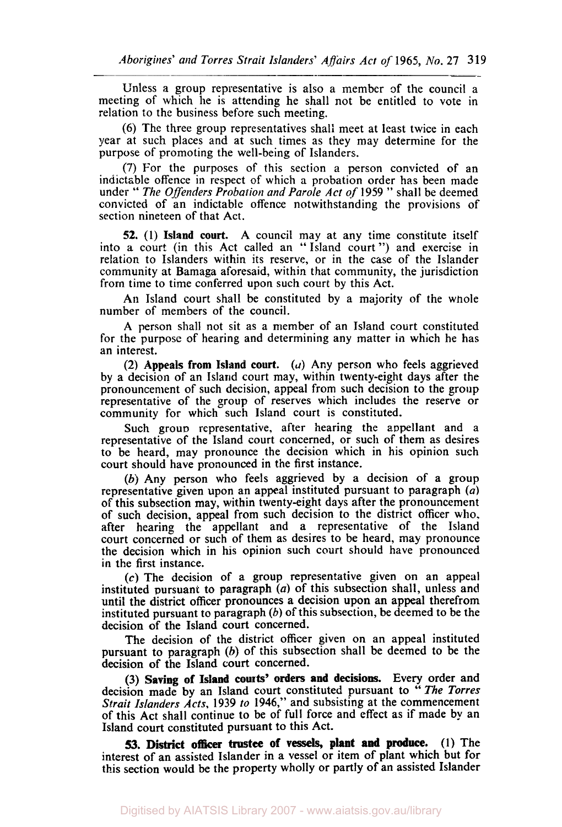Unless a group representative is also a member of the council a meeting of which he is attending he shall not be entitled to vote in relation **to** the business before such meeting.

(6) The three group representatives shall meet at least twice in each year at such places and at such times as they may determine for the purpose of promoting the well-being of Islanders.

(7) For the purposes of this section a person convicted of an indictable offence in respect of which a probation order has been made under '' The *Offenders Probarion and Parole Act of* <sup>1959</sup>" shall be deemed convicted of an indictable offence notwithstanding the provisions of section nineteen of that Act.

**52.** (1) Island court. A council may at any time constitute itself into a court (in this Act called an "Island court") and exercise in relation to Islanders within its reserve, or in the case of the Islander community at Bamaga aforesaid, within that community, the jurisdiction from time to time conferred upon such court by this Act.

An Island court shall be constituted by a majority of the whole number of members of the council.

A person shall not sit as a member of an Island court constituted for the purpose of hearing and determining any matter in which he has an interest.

(2) Appeals from Island court. *(a)* Any person who feels aggrieved by a decision of an Island court may, within twenty-eight days after the pronouncement of such decision, appeal from such decision to the **group**  representative of the group of reserves which includes the reserve or community for which such Island court is constituted.

Such group representative, after hearing the appellant and a representative of the Island court concerned, or such of them as desires to be heard, may pronounce the decision which in his opinion such court should have pronounced in the first instance.

(b) Any person who feels aggrieved by a decision of a group representative given upon an appeal instituted pursuant to paragraph (a) of this subsection may, within twenty-eight days after the pronouncement of such decision, appeal from such decision to the district officer who. after hearing the appellant and a representative of the Island court concerned or such of them as desires to be heard, may pronounce the decision which in his opinion such court should have pronounced in the first instance.

*(c)* The decision of **a** group representative given on an appeal instituted pursuant to paragraph *(a)* of this subsection shall, unless and until the district officer pronounces a decision upon an appeal therefrom instituted pursuant to paragraph *(b)* of this subsection, be deemed to be the decision of the Island court concerned.

The decision of the district officer given on an appeal instituted pursuant to paragraph  $(b)$  of this subsection shall be deemed to be the decision of the Island court concerned.

(3) Saving of Island **courts' orders** and decisions. Every order and decision made by an Island court constituted pursuant to "The Torres *Strait Islanders Acts,* 1939 *to* 1946," and subsisting at the commencement of this Act shall continue to be of full force and effect as if made by an Island court constituted pursuant to this Act.

(1) The **53. District officer trustee** of **vessels,** plant and **produce.**  interest of an assisted Islander in a vessel or item of plant which but for this section would be the property wholly or partly of an assisted Islander